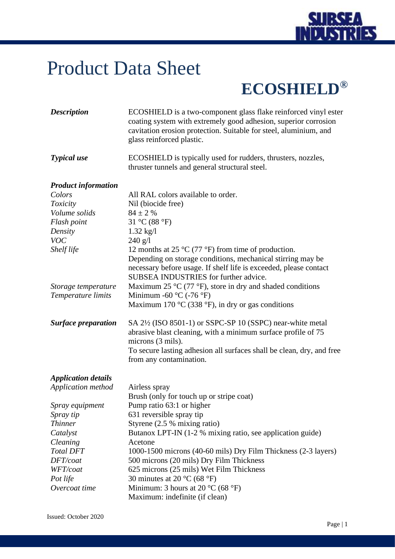

## Product Data Sheet

## **ECOSHIELD®**

| <b>Description</b>         | ECOSHIELD is a two-component glass flake reinforced vinyl ester<br>coating system with extremely good adhesion, superior corrosion<br>cavitation erosion protection. Suitable for steel, aluminium, and<br>glass reinforced plastic. |
|----------------------------|--------------------------------------------------------------------------------------------------------------------------------------------------------------------------------------------------------------------------------------|
| <b>Typical</b> use         | ECOSHIELD is typically used for rudders, thrusters, nozzles,<br>thruster tunnels and general structural steel.                                                                                                                       |
| <b>Product information</b> |                                                                                                                                                                                                                                      |
| Colors                     | All RAL colors available to order.                                                                                                                                                                                                   |
| Toxicity                   | Nil (biocide free)                                                                                                                                                                                                                   |
| Volume solids              | $84 \pm 2$ %                                                                                                                                                                                                                         |
| Flash point                | 31 °C (88 °F)                                                                                                                                                                                                                        |
| Density                    | $1.32 \text{ kg}/1$                                                                                                                                                                                                                  |
| <b>VOC</b>                 | 240 g/l                                                                                                                                                                                                                              |
| Shelf life                 | 12 months at 25 $\rm{^{\circ}C}$ (77 $\rm{^{\circ}F}$ ) from time of production.                                                                                                                                                     |
|                            | Depending on storage conditions, mechanical stirring may be<br>necessary before usage. If shelf life is exceeded, please contact<br>SUBSEA INDUSTRIES for further advice.                                                            |
| Storage temperature        | Maximum 25 $\rm{^{\circ}C}$ (77 $\rm{^{\circ}F}$ ), store in dry and shaded conditions                                                                                                                                               |
| Temperature limits         | Minimum -60 $\rm{^{\circ}C}$ (-76 $\rm{^{\circ}F}$ )<br>Maximum 170 $\rm{^{\circ}C}$ (338 $\rm{^{\circ}F}$ ), in dry or gas conditions                                                                                               |
| <b>Surface preparation</b> | SA 2½ (ISO 8501-1) or SSPC-SP 10 (SSPC) near-white metal<br>abrasive blast cleaning, with a minimum surface profile of 75<br>microns (3 mils).                                                                                       |
|                            | To secure lasting adhesion all surfaces shall be clean, dry, and free<br>from any contamination.                                                                                                                                     |
| <b>Application details</b> |                                                                                                                                                                                                                                      |
| Application method         | Airless spray                                                                                                                                                                                                                        |
|                            | Brush (only for touch up or stripe coat)                                                                                                                                                                                             |
| Spray equipment            | Pump ratio 63:1 or higher                                                                                                                                                                                                            |
| Spray tip                  | 631 reversible spray tip                                                                                                                                                                                                             |
| <i>Thinner</i>             | Styrene $(2.5 %$ mixing ratio)                                                                                                                                                                                                       |
| Catalyst                   | Butanox LPT-IN (1-2 % mixing ratio, see application guide)                                                                                                                                                                           |
| Cleaning                   | Acetone                                                                                                                                                                                                                              |
| <b>Total DFT</b>           | 1000-1500 microns (40-60 mils) Dry Film Thickness (2-3 layers)                                                                                                                                                                       |
| DFT/coat                   | 500 microns (20 mils) Dry Film Thickness                                                                                                                                                                                             |
| WFT/coat                   | 625 microns (25 mils) Wet Film Thickness                                                                                                                                                                                             |
| Pot life                   | 30 minutes at 20 $^{\circ}$ C (68 $^{\circ}$ F)                                                                                                                                                                                      |
| Overcoat time              | Minimum: 3 hours at 20 $^{\circ}$ C (68 $^{\circ}$ F)                                                                                                                                                                                |
|                            | Maximum: indefinite (if clean)                                                                                                                                                                                                       |